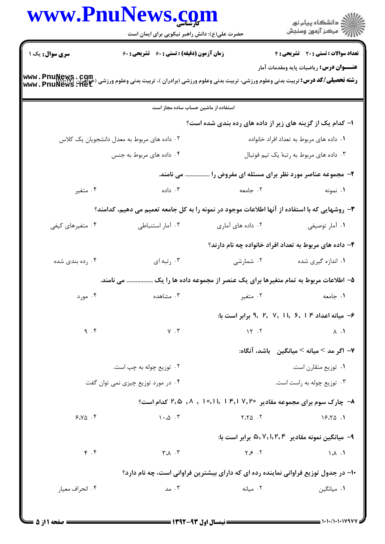|                        | www.PnuNews.com<br>حضرت علی(ع): دانش راهبر نیکویی برای ایمان است                                                                              |                                                                                     | ر<br>دانشڪاه پيام نور)<br>ا                             |
|------------------------|-----------------------------------------------------------------------------------------------------------------------------------------------|-------------------------------------------------------------------------------------|---------------------------------------------------------|
| <b>سری سوال :</b> یک ۱ | زمان آزمون (دقیقه) : تستی : 60 ٪ تشریحی : 60                                                                                                  |                                                                                     | <b>تعداد سوالات : تستی : 20 - تشریحی : 4</b>            |
|                        | <b>رشته تحصیلی/کد درس:</b> تربیت بدنی وعلوم ورزشی، تربیت بدنی وعلوم ورزشی (برادران )، تربیت بدنی وعلوم ورزشی (حواهران<br>www . PnuNews . 11et |                                                                                     | <b>عنـــوان درس:</b> ریاضیات پایه ومقدمات آمار          |
|                        | استفاده از ماشین حساب ساده مجاز است                                                                                                           |                                                                                     |                                                         |
|                        |                                                                                                                                               | ا– کدام یک از گزینه های زیر از داده های رده بندی شده است؟                           |                                                         |
|                        | ۰۲ داده های مربوط به معدل دانشجویان یک کلاس                                                                                                   |                                                                                     | ۰۱ داده های مربوط به تعداد افراد خانواده                |
|                        | ۰۴ داده های مربوط به جنس                                                                                                                      |                                                                                     | ۰۳ داده های مربوط به رتبهٔ یک تیم فوتبال                |
|                        | می نامند.                                                                                                                                     |                                                                                     | ۲- مجموعه عناصر مورد نظر برای مسئله ای مفروض را .       |
| ۰۴ متغیر               | داده $\cdot$ ۳                                                                                                                                | ۰۲ جامعه                                                                            | ۰۱ نمونه                                                |
|                        | ۳- روشهایی که با استفاده از آنها اطلاعات موجود در نمونه را به کل جامعه تعمیم می دهیم، کدامند؟                                                 |                                                                                     |                                                         |
| ۰۴ متغیرهای کیفی       | ۰۳ آمار استنباطی                                                                                                                              | ۰۲ داده های آماری                                                                   | ۰۱ آمار توصيفي                                          |
|                        |                                                                                                                                               |                                                                                     | ۴- داده های مربوط به تعداد افراد خانواده چه نام دارند؟  |
| ۰۴ رده بندی شده        | ۰۳ رتبه ای                                                                                                                                    | ۰۲ شمارشی                                                                           | ۰۱ اندازه گیری شده                                      |
|                        | می نامند.                                                                                                                                     | ۵– اطلاعات مربوط به تمام متغیرها برای یک عنصر از مجموعه داده ها را یک …             |                                                         |
| ۰۴ مورد                |                                                                                                                                               | ۰۱ جامعه سه سه ۲۰ مشاهده است. ۲۰ مشاهده                                             |                                                         |
|                        |                                                                                                                                               |                                                                                     | ۶- میانه اعداد ۴   ۶, ۱ , ۷, ۱ , ۶ برابر است با:        |
| 9.5                    | $\gamma$ . $\tau$                                                                                                                             | 15.7                                                                                | $\Lambda$ . $\Lambda$                                   |
|                        |                                                                                                                                               |                                                                                     | ٧- اگر مد > ميانه > ميانگين _ باشد، آنگاه:              |
|                        | ۰۲ توزیع چوله به چپ است.                                                                                                                      |                                                                                     | ٠١ توزيع متقارن است.                                    |
|                        | ۰۴ در مورد توزیع چیزی نمی توان گفت                                                                                                            |                                                                                     | ۰۳ توزیع چوله به راست است.                              |
|                        |                                                                                                                                               | ۰۸ چارک سوم برای مجموعه مقادیر ۲٬۶۰ - ۲٬۶ ۰٫۱۱ , ۰٫۱ , ۰٫۸ کدام است؟                |                                                         |
| 9.10.9                 | $1 \cdot 2 \cdot$                                                                                                                             | $\mathsf{Y}.\mathsf{Y}\mathsf{\Delta}$ . $\mathsf{Y}$                               | 19.70.1                                                 |
|                        |                                                                                                                                               |                                                                                     | <b>۹</b> - میانگین نمونه مقادیر ۵٫۷٫۱٫۲٫۴ برابر است با: |
| f. f                   | $\forall \lambda \cdot \forall$                                                                                                               | Y.S. S.                                                                             | $\Lambda$ . $\Lambda$                                   |
|                        |                                                                                                                                               | ۱۰− در جدول توزیع فراوانی نماینده رده ای که دارای بیشترین فراوانی است، چه نام دارد؟ |                                                         |
| ۰۴ انحراف معيار        | ۰۳ مد $\cdot$                                                                                                                                 | ۰۲ میانه                                                                            | ۰۱ میانگین                                              |
|                        |                                                                                                                                               |                                                                                     |                                                         |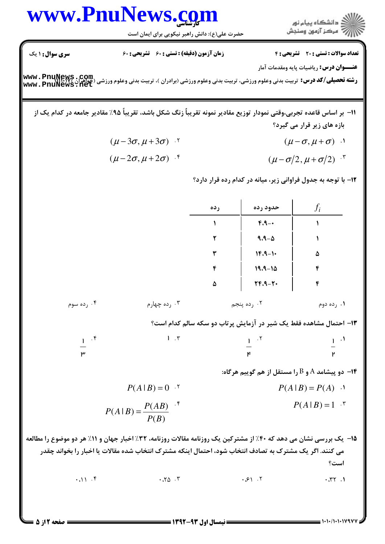## www.PnuNews.com

حضرت علی(ع): دانش راهبر نیکویی برای ایمان است

ار<br>الله دانشگاه پیام نور<br>الله مرکز آزمون وسنجش

تعداد سوالات : تستى : 20 - تشريحي : 4

**عنـــوان درس:** رياضيات پايه ومقدمات آمار

زمان آزمون (دقیقه) : تستی : ۶۰٪ تشریحی : ۶۰

**سری سوال : ۱ یک** 

**رشته تحصیلی/کد درس:** تربیت بدنی وعلوم ورزشی، تربیت بدنی وعلوم ورزشی (برادران )، تربیت بدنی وعلوم ورزشی (جواهران )\www . PnuNewS . Com<br>www . PnuNewS . net

## 11– بر اساس قاعده تجربی،وقتی نمودار توزیع مقادیر نمونه تقریباً زنگ شکل باشد، تقریباً ۹۵٪ مقادیر جامعه در کدام یک از بازه های زیر قرار می گیرد؟

 $(\mu - 3\sigma, \mu + 3\sigma)$  .  $(\mu-\sigma,\mu+\sigma)$  .

$$
(\mu - 2\sigma, \mu + 2\sigma) \cdot^{\mathfrak{e}}
$$
\n
$$
(\mu - \sigma/2, \mu + \sigma/2) \cdot^{\mathfrak{e}}
$$

۱۲- با توجه به جدول فراوانی زیر، میانه در کدام رده قرار دارد؟

|                                                                                                                                                                                                                         |              | رده            | حدود رده                               | $f_i$                                                              |  |
|-------------------------------------------------------------------------------------------------------------------------------------------------------------------------------------------------------------------------|--------------|----------------|----------------------------------------|--------------------------------------------------------------------|--|
|                                                                                                                                                                                                                         |              | $\mathbf{A}$   | $F.A -$                                | $\mathbf{A}$                                                       |  |
|                                                                                                                                                                                                                         |              | ٢              | $9.9 - \Delta$                         | $\mathbf{A}$                                                       |  |
|                                                                                                                                                                                                                         |              | ٣              | $1F.9-1$                               | ۵                                                                  |  |
|                                                                                                                                                                                                                         |              | ۴              | $19.9 - 10$                            | ۴                                                                  |  |
|                                                                                                                                                                                                                         |              | ۵              | $YF.A - Y$                             | ۴                                                                  |  |
| ۰۴ رده سوم                                                                                                                                                                                                              | ۰۳ رده چهارم |                | ۰۲ رده پنجم                            | ۰۱ رده دوم                                                         |  |
|                                                                                                                                                                                                                         |              |                |                                        | ۱۳- احتمال مشاهده فقط یک شیر در آزمایش پرتاب دو سکه سالم کدام است؟ |  |
| $1$ $\cdot$ $\circ$                                                                                                                                                                                                     | 1.7          |                |                                        |                                                                    |  |
| $\mathsf{h}$                                                                                                                                                                                                            |              |                | $\frac{1}{\kappa}$ $\frac{.7}{\kappa}$ |                                                                    |  |
|                                                                                                                                                                                                                         |              |                |                                        | - دو پیشامد A و B را مستقل از هم گوییم هرگاه $\,$ -1۴              |  |
|                                                                                                                                                                                                                         | $P(A B)=0$ . |                |                                        | $P(A B) = P(A)$                                                    |  |
| $P(A B) = \frac{P(AB)}{P(B)}$ <sup>.*</sup>                                                                                                                                                                             |              |                | $P(A B)=1$ $\cdot$                     |                                                                    |  |
| ۱۵- یک بررسی نشان می دهد که ۴۰٪ از مشترکین یک روزنامه مقالات روزنامه، ۳۲٪ اخبار جهان و ۱۱٪ هر دو موضوع را مه<br>می کنند. اگر یک مشترک به تصادف انتخاب شود، احتمال اینکه مشترک انتخاب شده مقالات یا اخبار را بخواند چقدر |              |                |                                        | است؟                                                               |  |
| .11.5                                                                                                                                                                                                                   | .70.7        |                | .81.7                                  | .77.1                                                              |  |
|                                                                                                                                                                                                                         |              |                |                                        |                                                                    |  |
| $\mathbf{1}$ $\mathbf{1}$ $\mathbf{Y}$ are and $\mathbf{1}$                                                                                                                                                             |              | 1347-43 1.1 11 |                                        | = 1010/10101477 =                                                  |  |

**= نیمسال اول ۹۳-۱۳۹۲ =** 

را مطالعه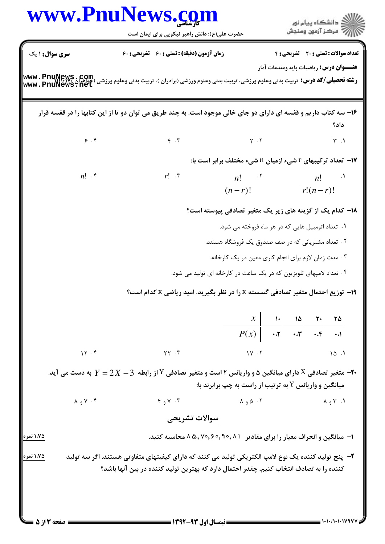|                  |                                  | www.PnuNews.com<br>حضرت علی(ع): دانش راهبر نیکویی برای ایمان است                                                                                                                                |                                                           |                 |  |                             | ر دانشگاه پيام نور<br>دانشگاه پيام نور         |
|------------------|----------------------------------|-------------------------------------------------------------------------------------------------------------------------------------------------------------------------------------------------|-----------------------------------------------------------|-----------------|--|-----------------------------|------------------------------------------------|
| سری سوال: ۱ یک   |                                  | <b>زمان آزمون (دقیقه) : تستی : 60 ٪ تشریحی : 60</b>                                                                                                                                             |                                                           |                 |  |                             | تعداد سوالات : تستي : 20 - تشريحي : 4          |
|                  |                                  | <b>رشته تحصیلی/کد درس:</b> تربیت بدنی وعلوم ورزشی، تربیت بدنی وعلوم ورزشی (برادران )، تربیت بدنی وعلوم ورزشی (جواهران www . PnuNews . Com<br>Www . PnuNews . net                                |                                                           |                 |  |                             | <b>عنـــوان درس:</b> رياضيات پايه ومقدمات آمار |
|                  |                                  | ۱۶- سه کتاب داریم و قفسه ای دارای دو جای خالی موجود است. به چند طریق می توان دو تا از این کتابها را در قفسه قرار                                                                                |                                                           |                 |  |                             | داد؟                                           |
|                  | 9.9                              | $\mathfrak{r}$ . $\mathfrak{r}$                                                                                                                                                                 | $Y \cdot Y$                                               |                 |  |                             | $\uparrow$ .1                                  |
|                  |                                  |                                                                                                                                                                                                 | ۱۷- تعداد ترکیبهای r شیء ازمیان n شیء مختلف برابر است با: |                 |  |                             |                                                |
|                  | $n!$ $\cdot$                     | $r!$ $\cdot$ $\cdot$                                                                                                                                                                            | $n!$ $\cdots$<br>$(n-r)!$                                 |                 |  | $n!$ $\cdots$<br>$r!(n-r)!$ |                                                |
|                  |                                  |                                                                                                                                                                                                 | ۱۸– کدام یک از گزینه های زیر یک متغیر تصادفی پیوسته است؟  |                 |  |                             |                                                |
|                  |                                  |                                                                                                                                                                                                 | ۰۱ تعداد اتومبیل هایی که در هر ماه فروخته می شود.         |                 |  |                             |                                                |
|                  |                                  | ۰۲ تعداد مشتریانی که در صف صندوق یک فروشگاه هستند.                                                                                                                                              |                                                           |                 |  |                             |                                                |
|                  |                                  |                                                                                                                                                                                                 | ۰۳ مدت زمان لازم برای انجام کاری معین در یک کارخانه.      |                 |  |                             |                                                |
|                  |                                  | ۰۴ تعداد لامپهای تلویزیون که در یک ساعت در کارخانه ای تولید می شود.                                                                                                                             |                                                           |                 |  |                             |                                                |
|                  |                                  | ۰۱۹ توزیع احتمال متغیر تصادفی گسسته x را در نظر بگیرید. امید ریاضی x کدام است؟                                                                                                                  |                                                           |                 |  |                             |                                                |
|                  |                                  |                                                                                                                                                                                                 |                                                           | $X$ 1. 10 7. 70 |  |                             |                                                |
|                  |                                  |                                                                                                                                                                                                 | $P(x)$ $P(x)$                                             |                 |  |                             |                                                |
|                  | 15.5                             | YY.7                                                                                                                                                                                            | $1Y \cdot 7$                                              |                 |  |                             | 10.1                                           |
|                  |                                  | -۲- متغیر تصادفی X دارای میانگین ۵ و واریانس ۲ است و متغیر تصادفی Y از رابطه $2X-\!3$ به دست می آید.                                                                                            | میانگین و واریانس Y به ترتیب از راست به چپ برابرند با:    |                 |  |                             |                                                |
|                  | $\lambda$ ، $\gamma$ و $\lambda$ | Y, Y, Y                                                                                                                                                                                         | $\lambda$ 9 $\Delta$ . Y                                  |                 |  |                             | $\Lambda$ 1. $\Upsilon$ و $\Lambda$            |
|                  |                                  | سوالات تشريحى                                                                                                                                                                                   |                                                           |                 |  |                             |                                                |
| <u>۱،۷۵ نمره</u> |                                  | ا– میانگین و انحراف معیار را برای مقادیر ۸۵٫۲۰٫۹۰٫۹۰٫۱ A ۸ محاسبه کنید.                                                                                                                         |                                                           |                 |  |                             |                                                |
| ۱،۷۵ نمره        |                                  | ۲–  پنج تولید کننده یک نوع لامپ الکتریکی تولید می کنند که دارای کیفیتهای متفاوتی هستند. اگر سه تولید<br>کننده را به تصادف انتخاب کنیم، چقدر احتمال دارد که بهترین تولید کننده در بین آنها باشد؟ |                                                           |                 |  |                             |                                                |
|                  |                                  |                                                                                                                                                                                                 |                                                           |                 |  |                             |                                                |
|                  |                                  |                                                                                                                                                                                                 |                                                           |                 |  |                             |                                                |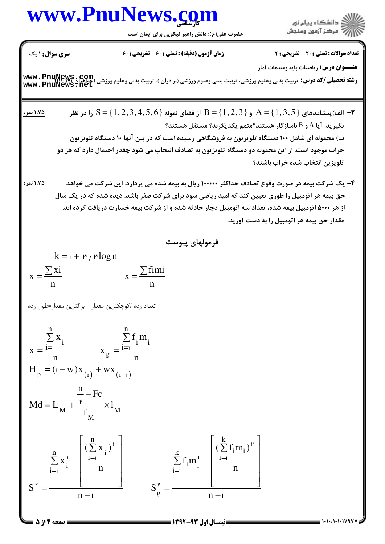## www.PnuNews.com

حضرت علی(ع): دانش راهبر نیکویی برای ایمان است



**سری سوال: ۱ یک تعداد سوالات : تستي : 20 ٪ تشريحي : 4** زمان آزمون (دقیقه) : تستی ; ۶۰٪ تشریحی ; ۶۰ **عنـــوان درس:** رياضيات پايه ومقدمات آمار **رشته تحصیلی/کد درس:** تربیت بدنی وعلوم ورزشی، تربیت بدنی وعلوم ورزشی (برادران )، تربیت بدنی وعلوم ورزشی (جواهران www. PnuNews , Com<br>www. PnuNews . net از فضای نمونه  $S = \{1,2,3,4,5,6\}$  و  $B = \{1,2,3\}$  از فضای نمونه  $S = \{1,2,3,4,5,6\}$  را در نظر  $\blacksquare$ 1،75 نمره بگیرید. آیا A و B ناسازگار هستند؟متمم یکدیگرند؟ مستقل هستند؟ ب) محموله ای شامل ۱۰۰ دستگاه تلویزیون به فروشگاهی رسیده است که در بین آنها ۱۰ دستگاه تلویزیون خراب موجود است. از این محموله دو دستگاه تلویزیون به تصادف انتخاب می شود چقدر احتمال دارد که هر دو تلويزين انتخاب شده خراب باشند؟ ۴– یک شرکت بیمه در صورت وقوع تصادف حداکثر ۱۰۰۰۰۰ ریال به بیمه شده می پردازد. این شرکت می خواهد حق بیمه هر اتومبیل را طوری تعیین کند که امید ریاضی سود برای شرکت صفر باشد. دیده شده که در یک سال از هر ۵۰۰۰ اتومبیل بیمه شده، تعداد سه اتومبیل دچار حادثه شده و از شرکت بیمه خسارت دریافت کرده اند. مقدار حق بيمه هر اتومبيل را به دست آوريد. فرمولهای پیوست  $k = 1 + r$ , rlog n  $\overline{x} = \frac{\sum \text{fimi}}{x}$  $\overline{x} = \frac{\sum x_i}{n}$ تعداد رده /کوچکترین مقدار- بزگترین مقدار=طول رده  $\frac{\sum_{i=1}^{n} x_i}{x}$   $\frac{\sum_{i=1}^{n} f_i m_i}{x_g}$  $H_p = (1 - w)x_{(r)} + wx_{(r+1)}$  $Md = L_M + \frac{\frac{n}{r} - Fc}{f_M} \times l_M$  $\sum_{i=1}^{k} f_i m_i^{r} - \frac{\left(\sum_{i=1}^{k} f_i m_i\right)^{r}}{n}$  $\sum_{i=1}^{n} x_i^{\mathsf{P}} - \left| \frac{\left(\sum_{i=1}^{n} x_i\right)^{\mathsf{P}}}{n} \right|$  $S_{\rm g}^{\rm P} = -$